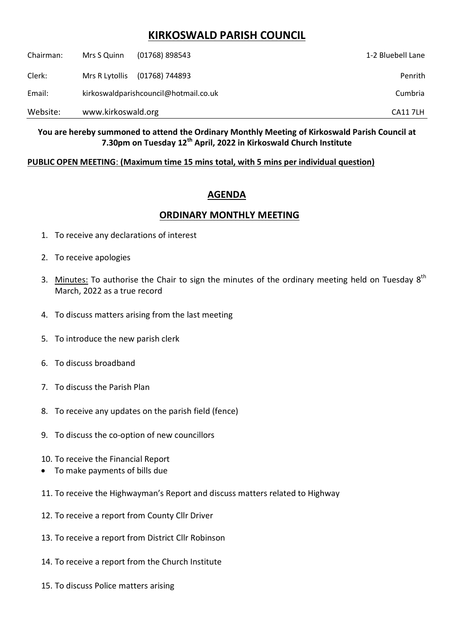## **KIRKOSWALD PARISH COUNCIL**

| Website:  | www.kirkoswald.org                    |                | <b>CA117LH</b>    |
|-----------|---------------------------------------|----------------|-------------------|
| Email:    | kirkoswaldparishcouncil@hotmail.co.uk |                | Cumbria           |
| Clerk:    | Mrs R Lytollis                        | (01768) 744893 | Penrith           |
| Chairman: | Mrs S Quinn                           | (01768) 898543 | 1-2 Bluebell Lane |

**You are hereby summoned to attend the Ordinary Monthly Meeting of Kirkoswald Parish Council at 7.30pm on Tuesday 12th April, 2022 in Kirkoswald Church Institute**

## **PUBLIC OPEN MEETING**: **(Maximum time 15 mins total, with 5 mins per individual question)**

## **AGENDA**

## **ORDINARY MONTHLY MEETING**

- 1. To receive any declarations of interest
- 2. To receive apologies
- 3. Minutes: To authorise the Chair to sign the minutes of the ordinary meeting held on Tuesday  $8<sup>th</sup>$ March, 2022 as a true record
- 4. To discuss matters arising from the last meeting
- 5. To introduce the new parish clerk
- 6. To discuss broadband
- 7. To discuss the Parish Plan
- 8. To receive any updates on the parish field (fence)
- 9. To discuss the co-option of new councillors
- 10. To receive the Financial Report
- To make payments of bills due
- 11. To receive the Highwayman's Report and discuss matters related to Highway
- 12. To receive a report from County Cllr Driver
- 13. To receive a report from District Cllr Robinson
- 14. To receive a report from the Church Institute
- 15. To discuss Police matters arising